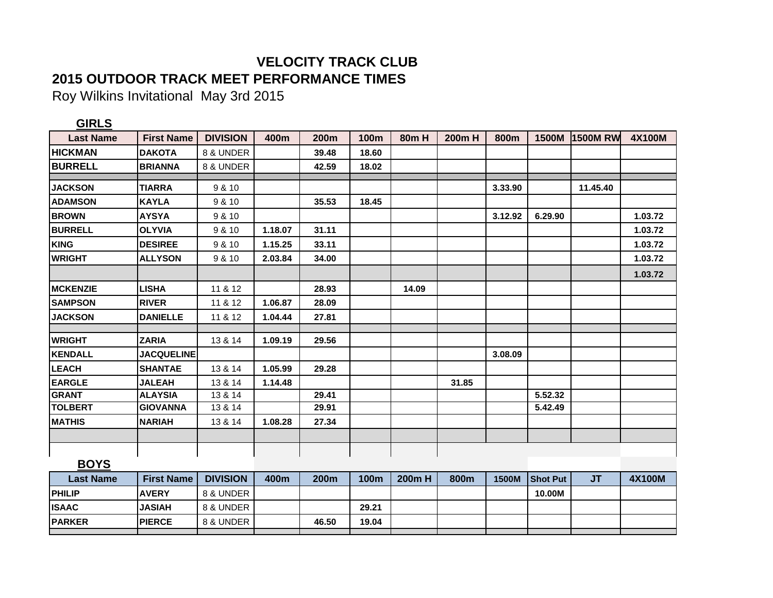## **VELOCITY TRACK CLUB 2015 OUTDOOR TRACK MEET PERFORMANCE TIMES**

Roy Wilkins Invitational May 3rd 2015

| <b>GIRLS</b>     |                   |                 |         |       |             |             |        |         |                 |                 |               |
|------------------|-------------------|-----------------|---------|-------|-------------|-------------|--------|---------|-----------------|-----------------|---------------|
| <b>Last Name</b> | <b>First Name</b> | <b>DIVISION</b> | 400m    | 200m  | <b>100m</b> | <b>80mH</b> | 200m H | 800m    | 1500M           | <b>1500M RW</b> | <b>4X100M</b> |
| <b>HICKMAN</b>   | <b>DAKOTA</b>     | 8 & UNDER       |         | 39.48 | 18.60       |             |        |         |                 |                 |               |
| <b>BURRELL</b>   | <b>BRIANNA</b>    | 8 & UNDER       |         | 42.59 | 18.02       |             |        |         |                 |                 |               |
|                  |                   |                 |         |       |             |             |        |         |                 |                 |               |
| <b>JACKSON</b>   | <b>TIARRA</b>     | 9 & 10          |         |       |             |             |        | 3.33.90 |                 | 11.45.40        |               |
| <b>ADAMSON</b>   | <b>KAYLA</b>      | 9 & 10          |         | 35.53 | 18.45       |             |        |         |                 |                 |               |
| <b>BROWN</b>     | <b>AYSYA</b>      | 9 & 10          |         |       |             |             |        | 3.12.92 | 6.29.90         |                 | 1.03.72       |
| <b>BURRELL</b>   | <b>OLYVIA</b>     | 9 & 10          | 1.18.07 | 31.11 |             |             |        |         |                 |                 | 1.03.72       |
| <b>KING</b>      | <b>DESIREE</b>    | 9 & 10          | 1.15.25 | 33.11 |             |             |        |         |                 |                 | 1.03.72       |
| <b>WRIGHT</b>    | <b>ALLYSON</b>    | 9 & 10          | 2.03.84 | 34.00 |             |             |        |         |                 |                 | 1.03.72       |
|                  |                   |                 |         |       |             |             |        |         |                 |                 | 1.03.72       |
| <b>MCKENZIE</b>  | <b>LISHA</b>      | 11 & 12         |         | 28.93 |             | 14.09       |        |         |                 |                 |               |
| <b>SAMPSON</b>   | <b>RIVER</b>      | 11 & 12         | 1.06.87 | 28.09 |             |             |        |         |                 |                 |               |
| <b>JACKSON</b>   | <b>DANIELLE</b>   | 11 & 12         | 1.04.44 | 27.81 |             |             |        |         |                 |                 |               |
|                  |                   |                 |         |       |             |             |        |         |                 |                 |               |
| <b>WRIGHT</b>    | <b>ZARIA</b>      | 13 & 14         | 1.09.19 | 29.56 |             |             |        |         |                 |                 |               |
| <b>KENDALL</b>   | <b>JACQUELINE</b> |                 |         |       |             |             |        | 3.08.09 |                 |                 |               |
| <b>LEACH</b>     | <b>SHANTAE</b>    | 13 & 14         | 1.05.99 | 29.28 |             |             |        |         |                 |                 |               |
| <b>EARGLE</b>    | <b>JALEAH</b>     | 13 & 14         | 1.14.48 |       |             |             | 31.85  |         |                 |                 |               |
| <b>GRANT</b>     | <b>ALAYSIA</b>    | 13 & 14         |         | 29.41 |             |             |        |         | 5.52.32         |                 |               |
| <b>TOLBERT</b>   | <b>GIOVANNA</b>   | 13 & 14         |         | 29.91 |             |             |        |         | 5.42.49         |                 |               |
| <b>MATHIS</b>    | <b>NARIAH</b>     | 13 & 14         | 1.08.28 | 27.34 |             |             |        |         |                 |                 |               |
|                  |                   |                 |         |       |             |             |        |         |                 |                 |               |
|                  |                   |                 |         |       |             |             |        |         |                 |                 |               |
| <b>BOYS</b>      |                   |                 |         |       |             |             |        |         |                 |                 |               |
| <b>Last Name</b> | <b>First Name</b> | <b>DIVISION</b> | 400m    | 200m  | <b>100m</b> | 200m H      | 800m   | 1500M   | <b>Shot Put</b> | <b>JT</b>       | <b>4X100M</b> |
| <b>PHILIP</b>    | <b>AVERY</b>      | 8 & UNDER       |         |       |             |             |        |         | 10.00M          |                 |               |
| <b>ISAAC</b>     | <b>JASIAH</b>     | 8 & UNDER       |         |       | 29.21       |             |        |         |                 |                 |               |
| <b>PARKER</b>    | <b>PIERCE</b>     | 8 & UNDER       |         | 46.50 | 19.04       |             |        |         |                 |                 |               |
|                  |                   |                 |         |       |             |             |        |         |                 |                 |               |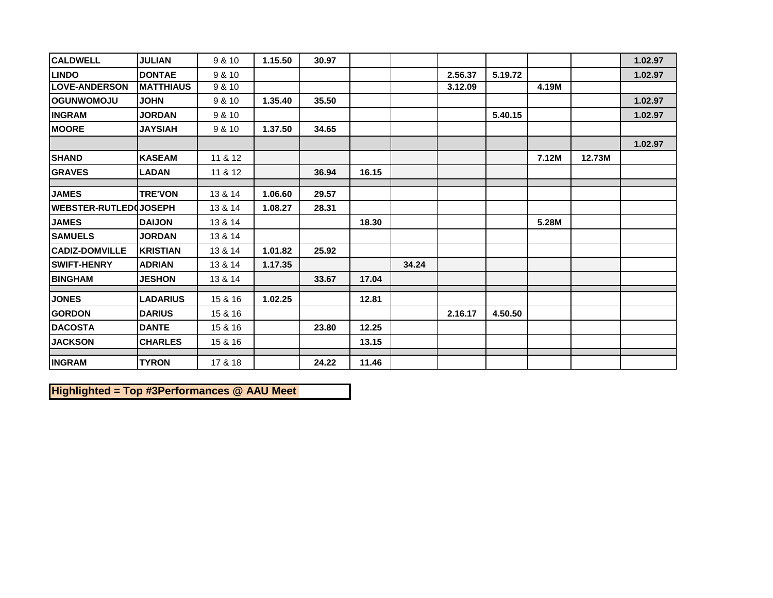| <b>CALDWELL</b>              | <b>JULIAN</b>    | 9 & 10  | 1.15.50 | 30.97 |       |       |         |         |       |        | 1.02.97 |
|------------------------------|------------------|---------|---------|-------|-------|-------|---------|---------|-------|--------|---------|
| <b>LINDO</b>                 | <b>DONTAE</b>    | 9 & 10  |         |       |       |       | 2.56.37 | 5.19.72 |       |        | 1.02.97 |
| <b>LOVE-ANDERSON</b>         | <b>MATTHIAUS</b> | 9 & 10  |         |       |       |       | 3.12.09 |         | 4.19M |        |         |
| <b>OGUNWOMOJU</b>            | <b>JOHN</b>      | 9 & 10  | 1.35.40 | 35.50 |       |       |         |         |       |        | 1.02.97 |
| <b>INGRAM</b>                | <b>JORDAN</b>    | 9 & 10  |         |       |       |       |         | 5.40.15 |       |        | 1.02.97 |
| <b>MOORE</b>                 | <b>JAYSIAH</b>   | 9 & 10  | 1.37.50 | 34.65 |       |       |         |         |       |        |         |
|                              |                  |         |         |       |       |       |         |         |       |        | 1.02.97 |
| <b>SHAND</b>                 | <b>KASEAM</b>    | 11 & 12 |         |       |       |       |         |         | 7.12M | 12.73M |         |
| <b>GRAVES</b>                | <b>LADAN</b>     | 11 & 12 |         | 36.94 | 16.15 |       |         |         |       |        |         |
| <b>JAMES</b>                 | <b>TRE'VON</b>   | 13 & 14 | 1.06.60 | 29.57 |       |       |         |         |       |        |         |
| <b>WEBSTER-RUTLED JOSEPH</b> |                  | 13 & 14 | 1.08.27 | 28.31 |       |       |         |         |       |        |         |
| <b>JAMES</b>                 | <b>DAIJON</b>    | 13 & 14 |         |       | 18.30 |       |         |         | 5.28M |        |         |
| <b>SAMUELS</b>               | <b>JORDAN</b>    | 13 & 14 |         |       |       |       |         |         |       |        |         |
| <b>CADIZ-DOMVILLE</b>        | <b>KRISTIAN</b>  | 13 & 14 | 1.01.82 | 25.92 |       |       |         |         |       |        |         |
| <b>SWIFT-HENRY</b>           | <b>ADRIAN</b>    | 13 & 14 | 1.17.35 |       |       | 34.24 |         |         |       |        |         |
| <b>BINGHAM</b>               | <b>JESHON</b>    | 13 & 14 |         | 33.67 | 17.04 |       |         |         |       |        |         |
| <b>JONES</b>                 | <b>LADARIUS</b>  | 15 & 16 | 1.02.25 |       | 12.81 |       |         |         |       |        |         |
| <b>GORDON</b>                | <b>DARIUS</b>    | 15 & 16 |         |       |       |       | 2.16.17 | 4.50.50 |       |        |         |
| <b>DACOSTA</b>               | <b>DANTE</b>     | 15 & 16 |         | 23.80 | 12.25 |       |         |         |       |        |         |
| <b>JACKSON</b>               | <b>CHARLES</b>   | 15 & 16 |         |       | 13.15 |       |         |         |       |        |         |
|                              |                  |         |         |       |       |       |         |         |       |        |         |
| <b>INGRAM</b>                | <b>TYRON</b>     | 17 & 18 |         | 24.22 | 11.46 |       |         |         |       |        |         |

**Highlighted = Top #3Performances @ AAU Meet**